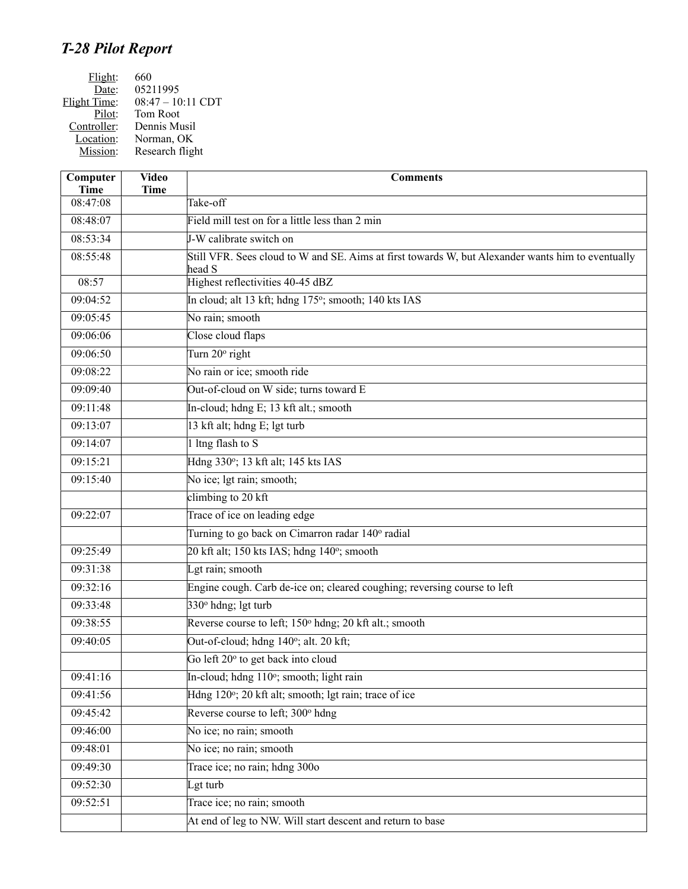## *T-28 Pilot Report*

| Flight:             | 660               |
|---------------------|-------------------|
| Date:               | 05211995          |
| <b>Flight Time:</b> | 08:47 - 10:11 CDT |
| Pilot:              | Tom Root          |
| Controller:         | Dennis Musil      |
| Location:           | Norman, OK        |
| Mission:            | Research flight   |

| Computer<br><b>Time</b> | <b>Video</b><br><b>Time</b> | <b>Comments</b>                                                                                             |
|-------------------------|-----------------------------|-------------------------------------------------------------------------------------------------------------|
| 08:47:08                |                             | Take-off                                                                                                    |
| 08:48:07                |                             | Field mill test on for a little less than 2 min                                                             |
| 08:53:34                |                             | J-W calibrate switch on                                                                                     |
| 08:55:48                |                             | Still VFR. Sees cloud to W and SE. Aims at first towards W, but Alexander wants him to eventually<br>head S |
| 08:57                   |                             | Highest reflectivities 40-45 dBZ                                                                            |
| 09:04:52                |                             | In cloud; alt 13 kft; hdng 175°; smooth; 140 kts IAS                                                        |
| 09:05:45                |                             | No rain; smooth                                                                                             |
| 09:06:06                |                             | Close cloud flaps                                                                                           |
| 09:06:50                |                             | Turn 20° right                                                                                              |
| 09:08:22                |                             | No rain or ice; smooth ride                                                                                 |
| 09:09:40                |                             | Out-of-cloud on W side; turns toward E                                                                      |
| 09:11:48                |                             | In-cloud; hdng E; 13 kft alt.; smooth                                                                       |
| 09:13:07                |                             | 13 kft alt; hdng E; lgt turb                                                                                |
| 09:14:07                |                             | 1 ltng flash to $S$                                                                                         |
| 09:15:21                |                             | Hdng 330°; 13 kft alt; 145 kts IAS                                                                          |
| 09:15:40                |                             | No ice; lgt rain; smooth;                                                                                   |
|                         |                             | climbing to $20$ kft                                                                                        |
| 09:22:07                |                             | Trace of ice on leading edge                                                                                |
|                         |                             | Turning to go back on Cimarron radar 140° radial                                                            |
| 09:25:49                |                             | 20 kft alt; 150 kts IAS; hdng 140°; smooth                                                                  |
| 09:31:38                |                             | Lgt rain; smooth                                                                                            |
| 09:32:16                |                             | Engine cough. Carb de-ice on; cleared coughing; reversing course to left                                    |
| 09:33:48                |                             | $330°$ hdng; lgt turb                                                                                       |
| 09:38:55                |                             | Reverse course to left; 150 <sup>°</sup> hdng; 20 kft alt.; smooth                                          |
| 09:40:05                |                             | Out-of-cloud; hdng 140°; alt. 20 kft;                                                                       |
|                         |                             | Go left 20° to get back into cloud                                                                          |
| 09:41:16                |                             | In-cloud; hdng 110°; smooth; light rain                                                                     |
| 09:41:56                |                             | Hdng 120°; 20 kft alt; smooth; lgt rain; trace of ice                                                       |
| 09:45:42                |                             | Reverse course to left; 300° hdng                                                                           |
| 09:46:00                |                             | No ice; no rain; smooth                                                                                     |
| 09:48:01                |                             | No ice; no rain; smooth                                                                                     |
| 09:49:30                |                             | Trace ice; no rain; hdng 300o                                                                               |
| 09:52:30                |                             | Lgt turb                                                                                                    |
| 09:52:51                |                             | Trace ice; no rain; smooth                                                                                  |
|                         |                             | At end of leg to NW. Will start descent and return to base                                                  |